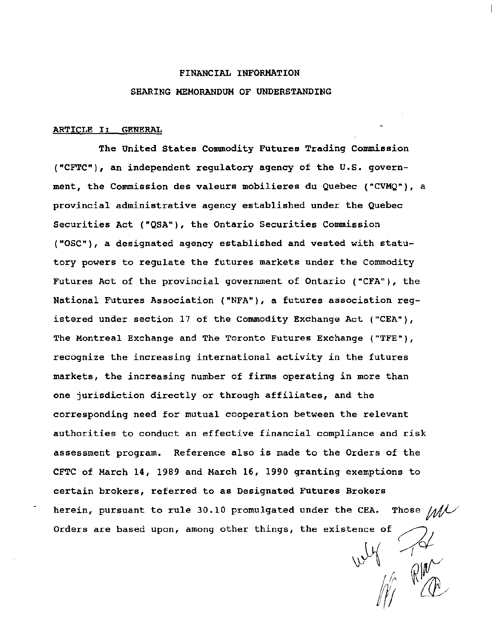#### FINANCIAL INFORMATION

#### SHARING MEMORANDUM OF UNDERSTANDING

#### ARTICLE I: GENERAL

The United States Commodity Futures Trading Commission ("CFTC"), an independent regulatory agency of the u.s. government, the Commission des valeurs mobilieres du Quebec ('"CVMQ"), a provincial administrative agency established under the Quebec Securities Act {"QSA"), the Ontario Securities Commission ( "OSC"), a designated agency established and vested with statutory powers to regulate the futures markets under the Commodity Futures Act of the provincial government of Ontario ("CFA"), the National Futures Association ( "NFA"), a futures association registered under section 17 of the Commodity Exchange Act ("CEA"), The Montreal Exchange and The Toronto Futures Exchange ("TFE"), recognize the increasing international activity in the futures markets, the increasing number of firms operating in more than one jurisdiction directly or through affiliates, and the corresponding need for mutual cooperation between the relevant authorities to conduct an effective financial compliance and risk assessment program. Reference also is made to the Orders of the CFTC of March 14, 1989 and March 16, 1990 granting exemptions to certain brokers, referred to as Designated Futures Brokers herein, pursuant to rule 30.10 promulgated under the CEA. Those  $/$ Orders are based upon, among other things, the existence of

 $W = \frac{1}{2}$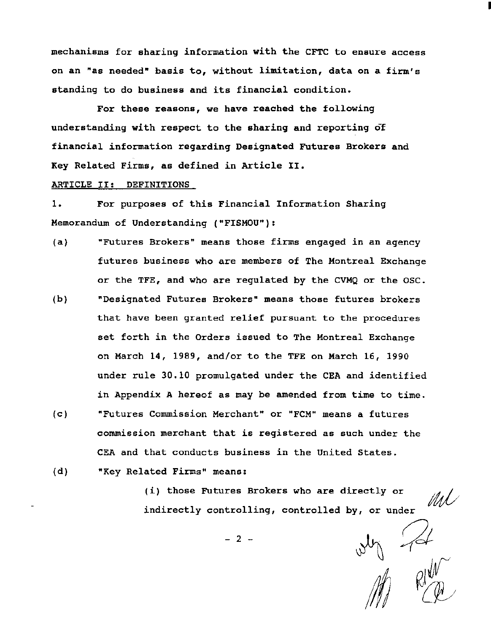mechanisms for sharing information with the CFTC to ensure access on an "as needed" basis to, without limitation, data on a firm's standing to do business and its financial condition.

I

For these reasons, we have reached the following understanding with respect to the sharing and reporting of financial information regarding Designated Futures Brokers and Key Related Firms, as defined in Article II.

## ARTICLE II: DEFINITIONS

1. For purposes of this Financial Information Sharing Memorandum of Understanding ("FISMOU"):

- (a) "Futures Brokers" means those firms engaged in an agency futures business who are members of The Montreal Exchange or the TFE, and who are regulated by the CVMQ or the OSC.
- (b) "Designated Futures Brokers" means those futures brokers that have been granted relief pursuant to the procedures set forth in the Orders issued to The Montreal Exchange on March 14, 1989, and/or to the TFE on March 16, 1990 under rule 30.10 promulgated under the CEA and identified in Appendix A hereof as may be amended from time to time.
- (c) "Futures Commission Merchant" or "FCM" means a futures commission merchant that is registered as such under the CEA and that conducts business in the United States.
- (d) "Key Related Firms" means:

(i) those Futures Brokers who are directly or MU indirectly controlling, controlled by, or under<br>  $-2$  -<br>  $\frac{1}{2}$ <br>  $\frac{1}{2}$ <br>  $\frac{1}{2}$ 

 $- 2 -$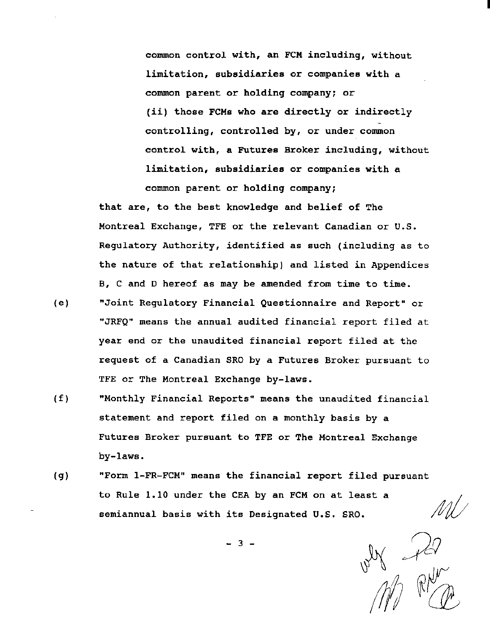common control with, an FCM including, without limitation, subsidiaries or companies with a common parent or holding company; or (ii) those FCMs who are directly or indirectly controlling, controlled by, or under common control with, a Futures Broker including, without limitation, subsidiaries or companies with a common parent or holding company;

that are, to the best knowledge and belief of The Montreal Exchange, TFE or the relevant Canadian or U.S. Regulatory Authority, identified as such (including as to the nature of that relationship) and listed in Appendices B, C and D hereof as may be amended from time to time.

- (e) "Joint Regulatory Financial Questionnaire and Report" or "JRFQ" means the annual audited financial report filed at year end or the unaudited financial report filed at the request of a Canadian SRO by a Futures Broker pursuant to TFE or The Montreal Exchange by-laws.
- (f) "Monthly Financial Reports" means the unaudited financial statement and report filed on a monthly basis by a Futures Broker pursuant to TFE or The Montreal Exchange by-laws.
- (g) "Form 1-FR-FCM" means the financial report filed pursuant to Rule 1.10 under the CEA by an FCM on at least a semiannual basis with its Designated U.S. SRO.

*1\ :}c9*   $\mathbb{Z}/n$  I

 $- 3 -$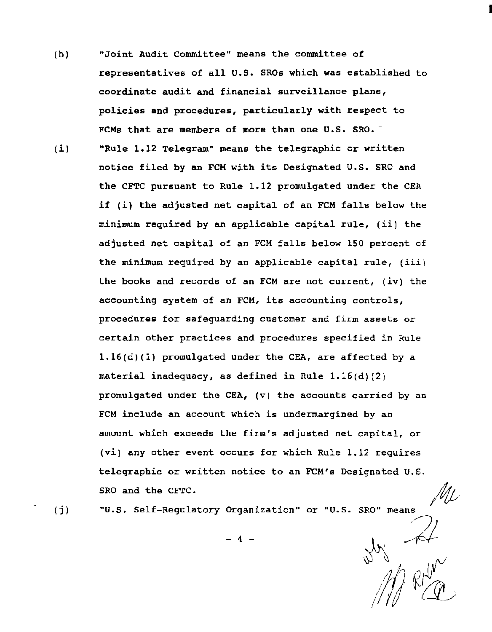- (h) "Joint Audit Committee" means the committee of representatives of all U.S. SROs which was established to coordinate audit and financial surveillance plans, policies and procedures, particularly with respect to FCMs that are members of more than one U.S. SRO.<sup>-</sup>
- (i} "Rule 1.12 Telegram" means the telegraphic or written notice filed by an FCM with its Designated U.S. SRO and the CFTC pursuant to Rule 1.12 promulgated under the CEA if (i} the adjusted net capital of an FCM falls below the minimum required by an applicable capital rule, (ii) the adjusted net capital of an FCM falls below 150 percent of the minimum required by an applicable capital rule, (iii) the books and records of an FCM are not current, (iv) the accounting system of an FCM, its accounting controls, procedures for safeguarding customer and firm assets or certain other practices and procedures specified in Rule 1.16(d)(l) promulgated under the CEA, are affected by a material inadequacy, as defined in Rule 1.16(d)(2) promulgated under the CEA, (v) the accounts carried by an FCM include an account which is undermargined by an amount which exceeds the firm's adjusted net capital, or (vi) any other event occurs for which Rule 1.12 requires telegraphic or written notice to an FCM's Designated U.S. SRO and the CFTC. SRO and the CFTC.<br>"U.S. Self-Regulatory Organization" or "U.S. SRO" means  $\mathscr{M}\!\mathcal{L}$

 $(i)$ 

 $\overrightarrow{p}$ 

*;1/J* ~~

 $-4 - 1 + 2$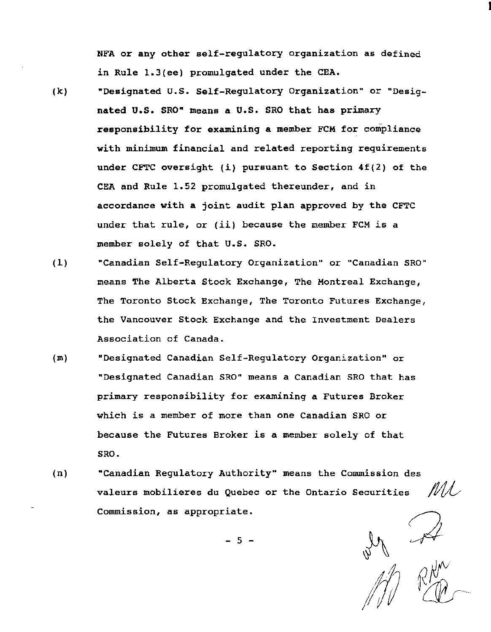NFA or any other self-regulatory organization as defined in Rule 1.3(ee) promulgated under the CEA.

- (k) "Designated U.S. Self-Regulatory Organization" or "Designated U.S. SRO" means a U.S. SRO that has primary responsibility for examining a member FCM for compliance with minimum financial and related reporting requirements under CFTC oversight (i) pursuant to Section 4f(2) of the CEA and Rule 1.52 promulgated thereunder, and in accordance with a joint audit plan approved by the CFTC under that rule, or (ii) because the member FCM is a member solely of that U.S. SRO.
- (1) "Canadian Self-Regulatory Organization" or "Canadian SRO" means The Alberta Stock Exchange, The Montreal Exchange, The Toronto Stock Exchange, The Toronto Futures Exchange, the Vancouver Stock Exchange and the Investment Dealers Association of Canada.
- (m) "Designated Canadian Self-Regulatory Organization" or "Designated Canadian SRO" means a Canadian SRO that has primary responsibility for examining a Futures Broker which *is* a member of more than one Canadian SRO or because the Futures Broker is a member solely of that SRO.
- (n) "Canadian Regulatory Authority" means the Commission des valeurs mobilieres du Quebec or the Ontario Securities Commission, as appropriate.

MA .

I

- 5 -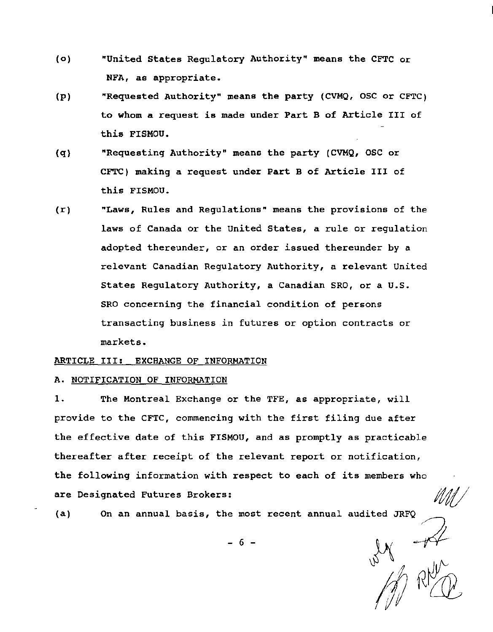- (o) "United States Regulatory Authority" means the CFTC or NFA, as appropriate.
- (p) "Requested Authority" means the party (CVMQ, OSC or CFTC) to whom a request is made under Part B of Article III of this FISMOU.
- (q) "Requesting Authority" means the party (CVMQ, OSC or CFTC) making a request under Part B of Article III of this FISMOU.
- (r) "Laws, Rules and Regulations" means the provisions of the laws of Canada or the United States, a rule or regulation adopted thereunder, or an order issued thereunder by a relevant Canadian Regulatory Authority, a relevant United States Regulatory Authority, a Canadian SRO, or a U.S. SRO concerning the financial condition of persons transacting business in futures or option contracts or markets.

#### ARTICLE III: EXCHANGE OF INFORMATION

### A. NOTIFICATION OF INFORMATION

1. The Montreal Exchange or the TFE, as appropriate, will provide to the CFTC, commencing with the first filing due after the effective date of this FISMOU, and as promptly as practicable thereafter after receipt of the relevant report or notification, the following information with respect to each of its members who are Designated Futures Brokers:

(a) On an annual basis, the most recent annual audited JRFQ

 $-6-$  **)**  $\frac{1}{2}$ 

1/1 RM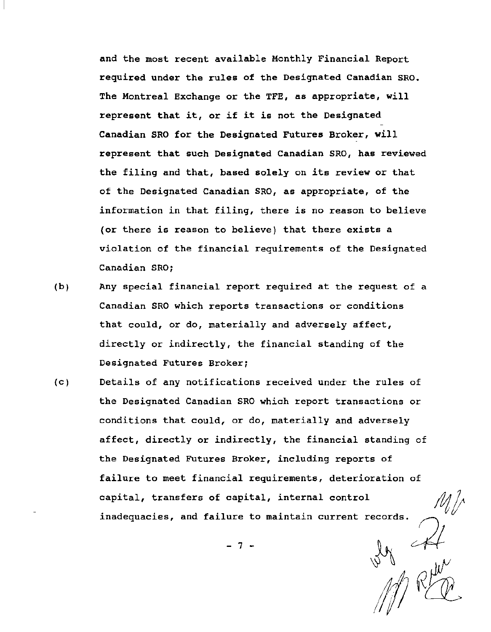and the most recent available Monthly Financial Report required under the rules of the Designated Canadian SRO. The Montreal Exchange or the TFE, as appropriate, will represent that it, or if it is not the Designated Canadian SRO for the Designated Futures Broker, will represent that such Designated Canadian SRO, has reviewed the filing and that, based solely on its review or that of the Designated Canadian SRO, as appropriate, of the information in that filing, there is no reason to believe (or there is reason to believe) that there exists a violation of the financial requirements of the Designated Canadian SRO;

- (b) Any special financial report required at the request of a Canadian SRO which reports transactions or conditions that could, or do, materially and adversely affect, directly or indirectly, the financial standing of the Designated Futures Broker;
- (c) Details of any notifications received under the rules of the Designated Canadian SRO which report transactions or conditions that could, or do, materially and adversely affect, directly or indirectly, the financial standing of the Designated Futures Broker, including reports of failure to meet financial requirements, deterioration of capital, transfers of capital, internal control inadequacies, and failure to maintain current records.

 $-7 -$ 

 $M$  RED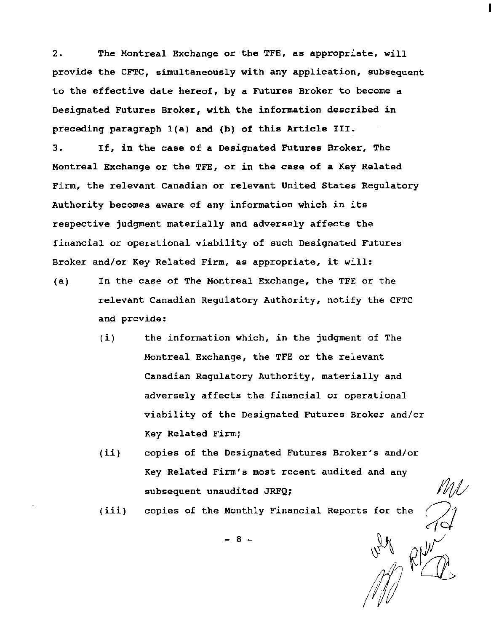2. The Montreal Exchange or the TFE, as appropriate, will provide the CFTC, simultaneously with any application, subsequent to the effective date hereof, by a Futures Broker to become a Designated Futures Broker, with the information described in preceding paragraph l(a) and (b) of this Article III.

3. If, in the case of a Designated Futures Broker, The Montreal Exchange or the TFE, or in the case of a Key Related Firm, the relevant Canadian or relevant United States Regulatory Authority becomes aware of any information which in its respective judgment materially and adversely affects the financial or operational viability of such Designated Futures Broker and/or Key Related Firm, as appropriate, it will:

- (a) In the case of The Montreal Exchange, the TFE or the relevant Canadian Regulatory Authority, notify the CFTC and provide:
	- (i) the information which, in the judgment of The Montreal Exchange, the TFE or the relevant Canadian Regulatory Authority, materially and adversely affects the financial or operational viability of the Designated Futures Broker and/or Key Related Firm;
	- (ii) copies of the Designated Futures Broker's and/or Key Related Firm's most recent audited and any subsequent unaudited JRFQ;

MD

(iii) copies of the Monthly Financial Reports for the

- 8 -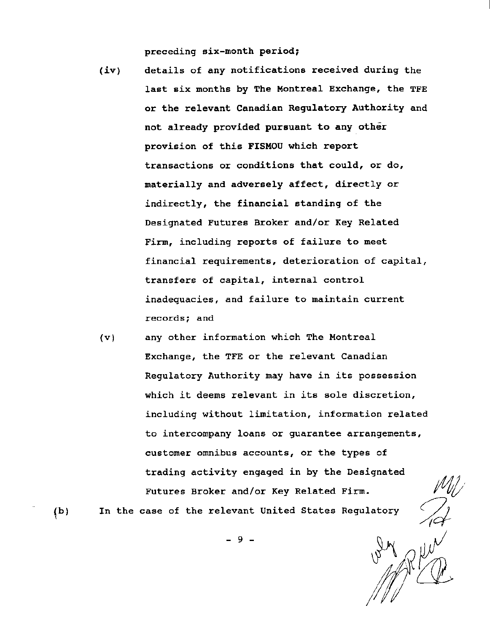preceding six-month period;

- (iv) details of any notifications received during the last six months by The Montreal Exchange, the TFE or the relevant Canadian Regulatory Authority and not already provided pursuant to any other provision of this FISMOU which report transactions or conditions that could, or do, materially and adversely affect, directly or indirectly, the financial standing of the Designated Futures Broker and/or Key Related Firm, including reports of failure to meet financial requirements, deterioration of capital, transfers of capital, internal control inadequacies, and failure to maintain current records; and
- (v) any other information which The Montreal Exchange, the TFE or the relevant Canadian Regulatory Authority may have in its possession which it deems relevant in its sole discretion, including without limitation, information related to intercompany loans or guarantee arrangements, customer omnibus accounts, or the types of trading activity engaged in by the Designated Futures Broker and/or Key Related Firm.

 $(b)$ 

In the case of the relevant United States Regulatory

- 9 -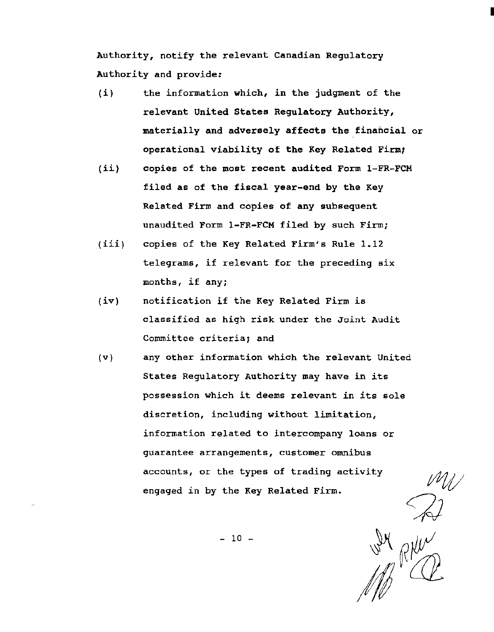Authority, notify the relevant Canadian Regulatory Authority and provide:

- (i) the information which, in the judgment of the relevant United States Regulatory Authority, materially and adversely affects the financial or operational viability of the Key Related Firm;
- (ii) copies of the most recent audited Form 1-FR-FCM filed as of the fiscal year-end by the Key Related Firm and copies of any subsequent unaudited Form 1-FR-FCM filed by such Firm;
- (iii) copies of the Key Related Firm's Rule 1.12 telegrams, if relevant for the preceding six months, if any;
- {iv) notification if the Key Related Firm is classified as high risk under the Joint Audit Committee criteria; and
- (v) any other information which the relevant United States Regulatory Authority may have in its possession which it deems relevant in its sole discretion, including without limitation, information related to intercompany loans or guarantee arrangements, customer omnibus accounts, or the types of trading activity engaged in by the Key Related Firm.

W RHW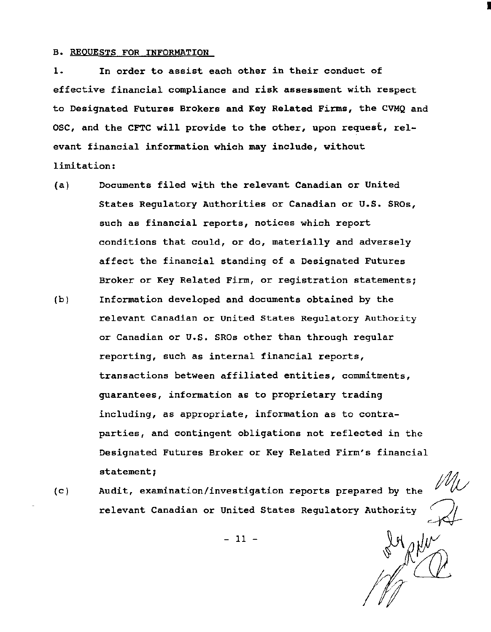#### B. REQUESTS FOR INFORMATION

1. In order to assist each other in their conduct of effective financial compliance and risk assessment with respect to Designated Futures Brokers and Key Related Firms, the CVMQ and OSC, and the CFTC will provide to the other, upon request, relevant financial information which may include, without limitation:

- (a) Documents filed with the relevant Canadian or United States Regulatory Authorities or Canadian or U.S. SROs, such as financial reports, notices which report conditions that could, or do, materially and adversely affect the financial standing of a Designated Futures Broker or Key Related Firm, or registration statements;
- (b) Information developed and documents obtained by the relevant Canadian or United States Regulatory Authority or Canadian or U.S. SROs other than through regular reporting, such as internal financial reports, transactions between affiliated entities, commitments, guarantees, information as to proprietary trading including, as appropriate, information as to contraparties, and contingent obligations not reflected *in* the Designated Futures Broker or Key Related Firm's financial statement;
- (c) Audit, examination/investigation reports prepared by the relevant Canadian or United States Regulatory Authority

I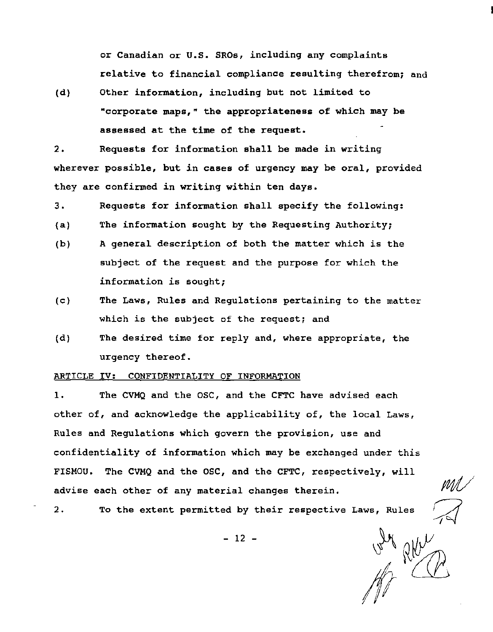or Canadian or u.s. SROs, including any complaints relative to financial compliance resulting therefrom; and

(d) Other information, including but not limited to "corporate maps," the appropriateness of which may be assessed at the time of the request.

2. Requests for information shall be made in writing wherever possible, but in cases of urgency may be oral, provided they are confirmed in writing within ten days.

3. Requests for information shall specify the following:

- (a) The information sought by the Requesting Authority;
- (b) A general description of both the matter which is the subject of the request and the purpose for which the information is sought;
- (c) The Laws, Rules and Regulations pertaining to the matter which is the subject of the request; and
- (d) The desired time for reply and, where appropriate, the urgency thereof.

## ARTICLE IV: CONFIDENTIALITY OF INFORMATION

1. The CVMQ and the OSC, and the CFTC have advised each other of, and acknowledge the applicability of, the local Laws, Rules and Regulations which govern the provision, use and confidentiality of information which may be exchanged under this FISMOU. The CVMQ and the osc, and the CFTC, respectively, will advise each other of any material changes therein.

2. To the extent permitted by their respective Laws, Rules

- 12 -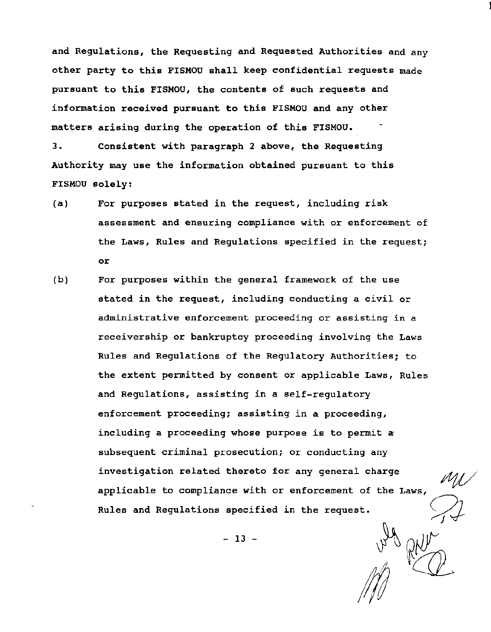and Regulations, the Requesting and Requested Authorities and any other party to this FISMOU shall keep confidential requests made pursuant to this FISMOU, the contents of such requests and information received pursuant to this FISMOU and any other matters arising during the operation of this FISMOU.

3. Consistent with paragraph 2 above, the Requesting Authority may use the information obtained pursuant to this FISMOU solely:

- (a) For purposes stated in the request, including risk assessment and ensuring compliance with or enforcement of the Laws, Rules and Regulations specified in the request; or
- (b) For purposes within the general framework of the use stated in the request, including conducting a civil or administrative enforcement proceeding or assisting in a receivership or bankruptcy proceeding involving the Laws Rules and Regulations of the Regulatory Authorities; to the extent permitted by consent or applicable Laws, Rules and Regulations, assisting in a self-regulatory enforcement proceeding; assisting in a proceeding, including a proceeding whose purpose is to permit a subsequent criminal prosecution; or conducting any investigation related thereto for any general charge applicable to compliance with or enforcement of the Laws, Rules and Regulations specified in the request.

 $- 13 -$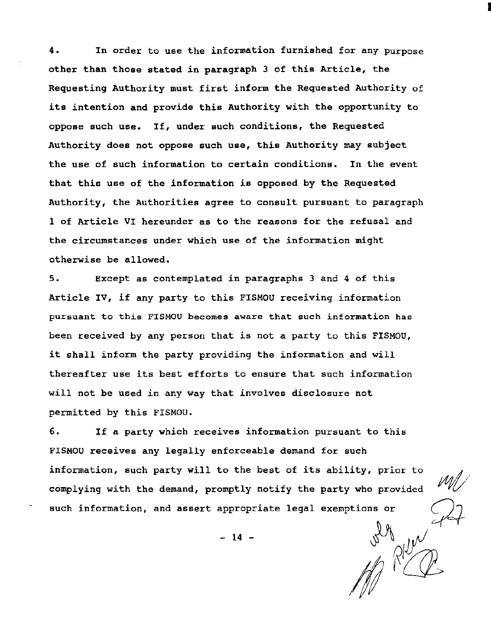4. In order to use the information furnished for any purpose other than those stated in paragraph 3 of this Article, the Requesting Authority must first inform the Requested Authority of its intention and provide this Authority with the opportunity to oppose such use. If, under such conditions, the Requested Authority does not oppose such use, this Authority may subject the use of such information to certain conditions. In the event that this use of the information is opposed by the Requested Authority, the Authorities agree to consult pursuant to paragraph 1 of Article VI hereunder as to the reasons for the refusal and the circumstances under which use of the information might otherwise be allowed.

I

5. Except as contemplated *in* paragraphs 3 and 4 of this Article IV, if any party to this FISMOU receiving information pursuant to this FISMOU becomes aware that such information has been received by any person that is not a party to this FISMOU, it shall inform the party providing the information and will thereafter use its best efforts to ensure that such information will not be used in any way that involves disclosure not permitted by this FISMOU.

6. If a party which receives information pursuant to this FISMOU receives any legally enforceable demand for such information, such party will to the best of its ability, prior to complying with the demand, promptly notify the party who provided such information, and assert appropriate legal exemptions or

 $- 14 -$ 

Wall River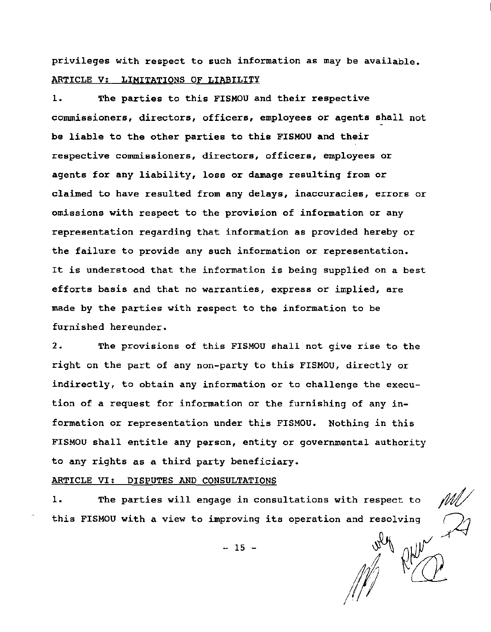privileges with respect to such information as may be available. ARTICLE V: LIMITATIONS OF LIABILITY

1. The parties to this FISMOU and their respective commissioners, directors, officers, employees or agents shall not be liable to the other parties to this FISMOU and their respective commissioners, directors, officers, employees or agents for any liability, loss or damage resulting from or claimed to have resulted from any delays, inaccuracies, errors or omissions with respect to the provision of information or any representation regarding that information as provided hereby or the failure to provide any such information or representation. It is understood that the information is being supplied on a best efforts basis and that no warranties, express or implied, are made by the parties with respect to the information to be furnished hereunder.

2. The provisions of this FISMOU shall not give rise to the right on the part of any non-party to this FISMOU, directly or indirectly, to obtain any information or to challenge the execution of a request for information or the furnishing of any information or representation under this FISMOU. Nothing in this FISMOU shall entitle any person, entity or governmental authority to any rights as a third party beneficiary.

ARTICLE VI: DISPUTES AND CONSULTATIONS

1. The parties will engage in consultations with respect to this FISMOU with a view to improving its operation and resolving

 $-15 -$ 

 $M^{N}$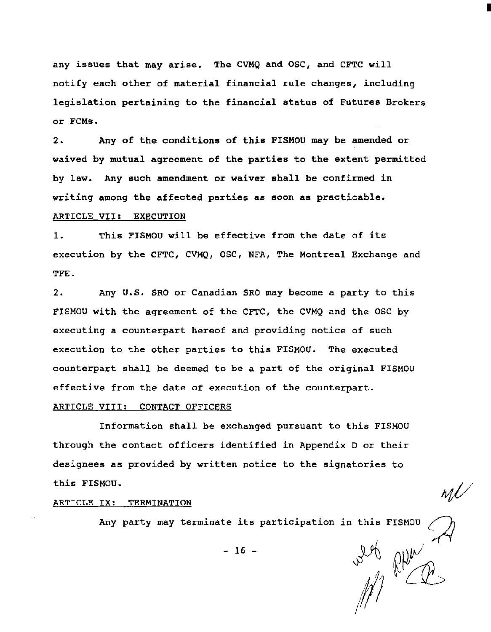any issues that may arise. The CVMQ and OSC, and CFTC will notify each other of material financial rule changes, including legislation pertaining to the financial status of Futures Brokers or FCMs.

2. Any of the conditions of this FISMOU may be amended or waived by mutual agreement of the parties to the extent permitted by law. Any such amendment or waiver shall be confirmed in writing among the affected parties as soon as practicable. ARTICLE VII: EXECUTION

1. This FISMOU will be effective from the date of its execution by the CFTC, CVMQ, OSC, NFA, The Montreal Exchange and TFE.

2. Any U.S. SRO or Canadian SRO may become a party to this FISMOU with the agreement of the CFTC, the CVMQ and the OSC by executing a counterpart hereof and providing notice of such execution to the other parties to this FISMOU. The executed counterpart shall be deemed to be a part of the original FISMOU effective from the date of execution of the counterpart.

## ARTICLE VIII: CONTACT OFFICERS

Information shall be exchanged pursuant to this FISMOU through the contact officers identified in Appendix D or their designees as provided by written notice to the signatories to this FISMOU.

## ARTICLE IX: TERMINATION

Any party may terminate its participation in this FISMOU  $-16$  -<br> $\frac{16}{10}$   $\frac{16}{10}$   $\frac{16}{10}$ 

 $- 16 -$ 

I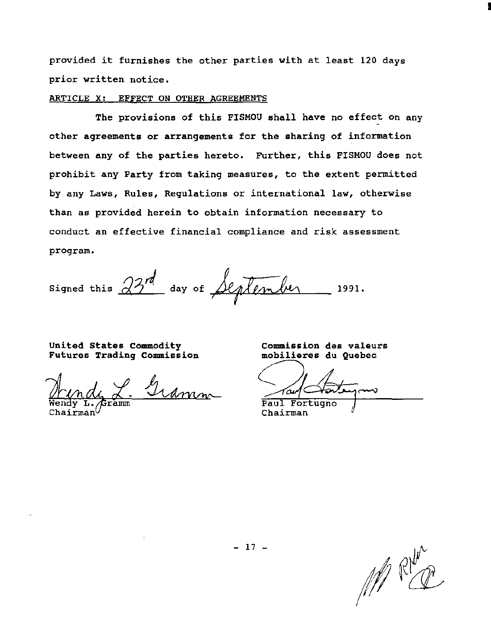provided it furnishes the other parties with at least 120 days prior written notice.

#### ARTICLE X: EFFECT ON OTHER AGREEMENTS

The provisions of this FISMOU shall have no effect on any other agreements or arrangements for the sharing of information between any of the parties hereto. Further, this FISMOU does not prohibit any Party from taking measures, to the extent permitted by any Laws, Rules, Regulations or international law, otherwise than as provided herein to obtain information necessary to conduct an effective financial compliance and risk assessment program.

signed this  $\frac{23^{rd}}{}$  day of Seplember 1991.

United States Commodity Futures Trading Commission

<u>amm</u>

Commission des valeurs

Commission des valeurs<br>mobilieres du Quebec<br>au Contempo

Paul Fortugno<br>Chairman

MRKE

I